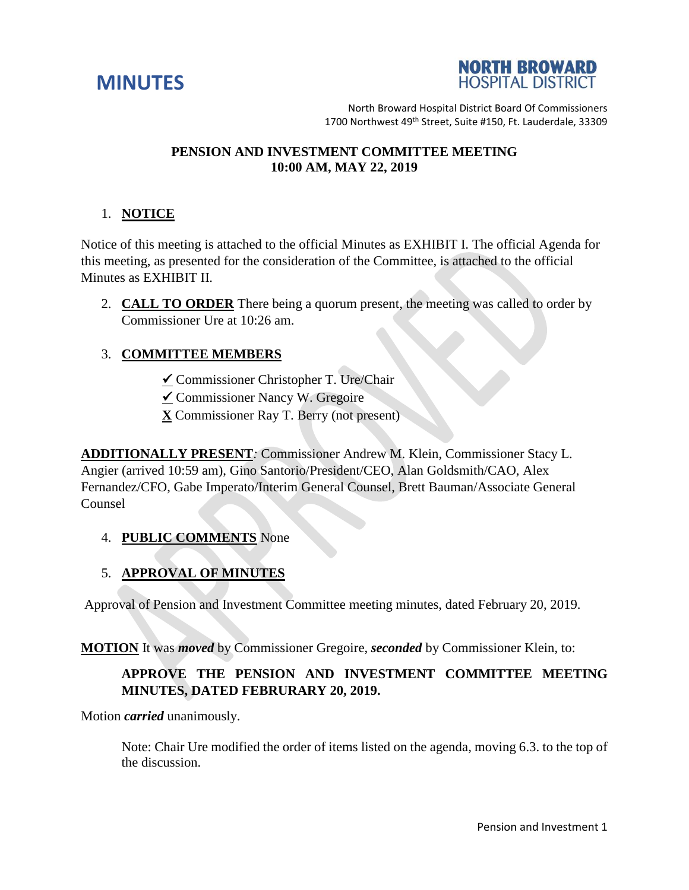



North Broward Hospital District Board Of Commissioners 1700 Northwest 49<sup>th</sup> Street, Suite #150, Ft. Lauderdale, 33309

## **PENSION AND INVESTMENT COMMITTEE MEETING 10:00 AM, MAY 22, 2019**

# 1. **NOTICE**

Notice of this meeting is attached to the official Minutes as EXHIBIT I. The official Agenda for this meeting, as presented for the consideration of the Committee, is attached to the official Minutes as EXHIBIT II.

2. **CALL TO ORDER** There being a quorum present, the meeting was called to order by Commissioner Ure at 10:26 am.

## 3. **COMMITTEE MEMBERS**

- Commissioner Christopher T. Ure/Chair
- $\checkmark$  Commissioner Nancy W. Gregoire
- **X** Commissioner Ray T. Berry (not present)

**ADDITIONALLY PRESENT***:* Commissioner Andrew M. Klein, Commissioner Stacy L. Angier (arrived 10:59 am), Gino Santorio/President/CEO, Alan Goldsmith/CAO, Alex Fernandez/CFO, Gabe Imperato/Interim General Counsel, Brett Bauman/Associate General Counsel

### 4. **PUBLIC COMMENTS** None

### 5. **APPROVAL OF MINUTES**

Approval of Pension and Investment Committee meeting minutes, dated February 20, 2019.

**MOTION** It was *moved* by Commissioner Gregoire, *seconded* by Commissioner Klein, to:

# **APPROVE THE PENSION AND INVESTMENT COMMITTEE MEETING MINUTES, DATED FEBRURARY 20, 2019.**

Motion *carried* unanimously.

Note: Chair Ure modified the order of items listed on the agenda, moving 6.3. to the top of the discussion.